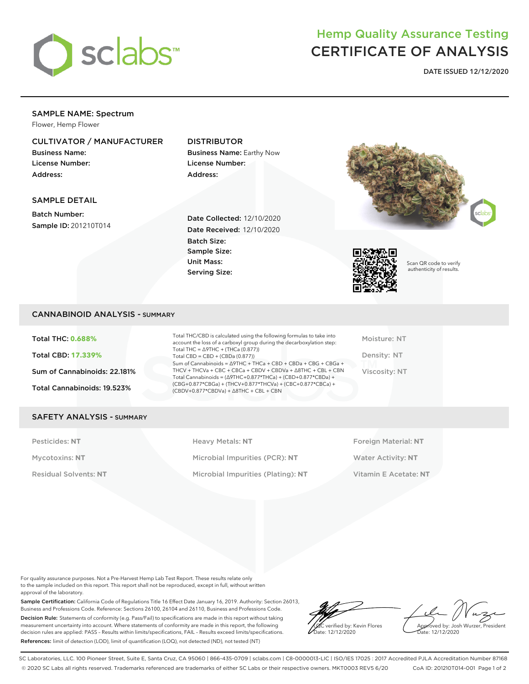

# Hemp Quality Assurance Testing CERTIFICATE OF ANALYSIS

**DATE ISSUED 12/12/2020**

# SAMPLE NAME: Spectrum

Flower, Hemp Flower

## CULTIVATOR / MANUFACTURER

Business Name: License Number: Address:

# DISTRIBUTOR

Business Name: Earthy Now License Number: Address:

### SAMPLE DETAIL

Batch Number: Sample ID: 201210T014

Date Collected: 12/10/2020 Date Received: 12/10/2020 Batch Size: Sample Size: Unit Mass: Serving Size:





Scan QR code to verify authenticity of results.

### CANNABINOID ANALYSIS - SUMMARY

Total THC: **0.688%** Total CBD: **17.339%** Sum of Cannabinoids: 22.181% Total Cannabinoids: 19.523%

Total THC/CBD is calculated using the following formulas to take into account the loss of a carboxyl group during the decarboxylation step: Total THC = ∆9THC + (THCa (0.877)) Total  $CBD = CBD + (CBDa (0.877))$ Sum of Cannabinoids = ∆9THC + THCa + CBD + CBDa + CBG + CBGa + THCV + THCVa + CBC + CBCa + CBDV + CBDVa + ∆8THC + CBL + CBN Total Cannabinoids = (∆9THC+0.877\*THCa) + (CBD+0.877\*CBDa) + (CBG+0.877\*CBGa) + (THCV+0.877\*THCVa) + (CBC+0.877\*CBCa) + (CBDV+0.877\*CBDVa) + ∆8THC + CBL + CBN

Moisture: NT Density: NT Viscosity: NT

#### SAFETY ANALYSIS - SUMMARY

Pesticides: NT **All Accords** Heavy Metals: NT **Foreign Material: NT** Pesticides: NT Mycotoxins: **NT** Microbial Impurities (PCR): **NT** Water Activity: **NT** Residual Solvents: **NT** Microbial Impurities (Plating): **NT** Vitamin E Acetate: **NT**

For quality assurance purposes. Not a Pre-Harvest Hemp Lab Test Report. These results relate only to the sample included on this report. This report shall not be reproduced, except in full, without written approval of the laboratory.

Sample Certification: California Code of Regulations Title 16 Effect Date January 16, 2019. Authority: Section 26013, Business and Professions Code. Reference: Sections 26100, 26104 and 26110, Business and Professions Code. Decision Rule: Statements of conformity (e.g. Pass/Fail) to specifications are made in this report without taking measurement uncertainty into account. Where statements of conformity are made in this report, the following decision rules are applied: PASS – Results within limits/specifications, FAIL – Results exceed limits/specifications. References: limit of detection (LOD), limit of quantification (LOQ), not detected (ND), not tested (NT)

LQC verified by: Kevin Flores Date: 12/12/2020

Approved by: Josh Wurzer, President ate: 12/12/2020

SC Laboratories, LLC. 100 Pioneer Street, Suite E, Santa Cruz, CA 95060 | 866-435-0709 | sclabs.com | C8-0000013-LIC | ISO/IES 17025 : 2017 Accredited PJLA Accreditation Number 87168 © 2020 SC Labs all rights reserved. Trademarks referenced are trademarks of either SC Labs or their respective owners. MKT0003 REV5 6/20 CoA ID: 201210T014-001 Page 1 of 2